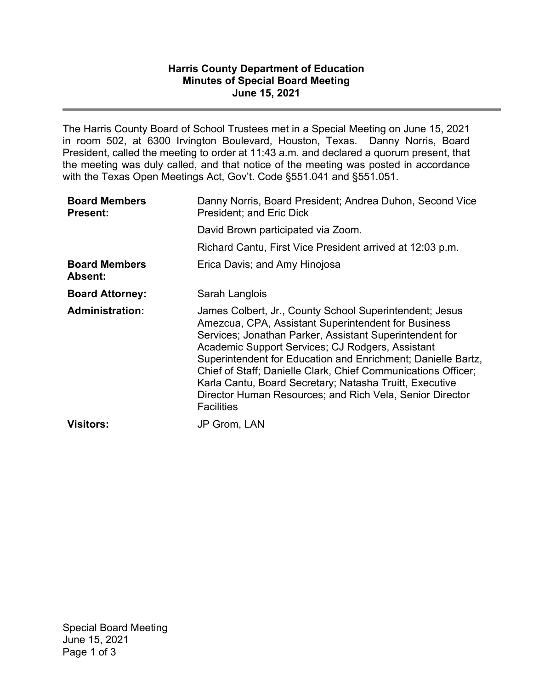## **Harris County Department of Education Minutes of Special Board Meeting June 15, 2021**

The Harris County Board of School Trustees met in a Special Meeting on June 15, 2021 in room 502, at 6300 Irvington Boulevard, Houston, Texas. Danny Norris, Board President, called the meeting to order at 11:43 a.m. and declared a quorum present, that the meeting was duly called, and that notice of the meeting was posted in accordance with the Texas Open Meetings Act, Gov't. Code §551.041 and §551.051.

| <b>Board Members</b><br><b>Present:</b> | Danny Norris, Board President; Andrea Duhon, Second Vice<br>President; and Eric Dick                                                                                                                                                                                                                                                                                                                                                                                                                       |
|-----------------------------------------|------------------------------------------------------------------------------------------------------------------------------------------------------------------------------------------------------------------------------------------------------------------------------------------------------------------------------------------------------------------------------------------------------------------------------------------------------------------------------------------------------------|
|                                         | David Brown participated via Zoom.                                                                                                                                                                                                                                                                                                                                                                                                                                                                         |
|                                         | Richard Cantu, First Vice President arrived at 12:03 p.m.                                                                                                                                                                                                                                                                                                                                                                                                                                                  |
| <b>Board Members</b><br>Absent:         | Erica Davis; and Amy Hinojosa                                                                                                                                                                                                                                                                                                                                                                                                                                                                              |
| <b>Board Attorney:</b>                  | Sarah Langlois                                                                                                                                                                                                                                                                                                                                                                                                                                                                                             |
| <b>Administration:</b>                  | James Colbert, Jr., County School Superintendent; Jesus<br>Amezcua, CPA, Assistant Superintendent for Business<br>Services; Jonathan Parker, Assistant Superintendent for<br>Academic Support Services; CJ Rodgers, Assistant<br>Superintendent for Education and Enrichment; Danielle Bartz,<br>Chief of Staff; Danielle Clark, Chief Communications Officer;<br>Karla Cantu, Board Secretary; Natasha Truitt, Executive<br>Director Human Resources; and Rich Vela, Senior Director<br><b>Facilities</b> |
| <b>Visitors:</b>                        | <b>JP Grom, LAN</b>                                                                                                                                                                                                                                                                                                                                                                                                                                                                                        |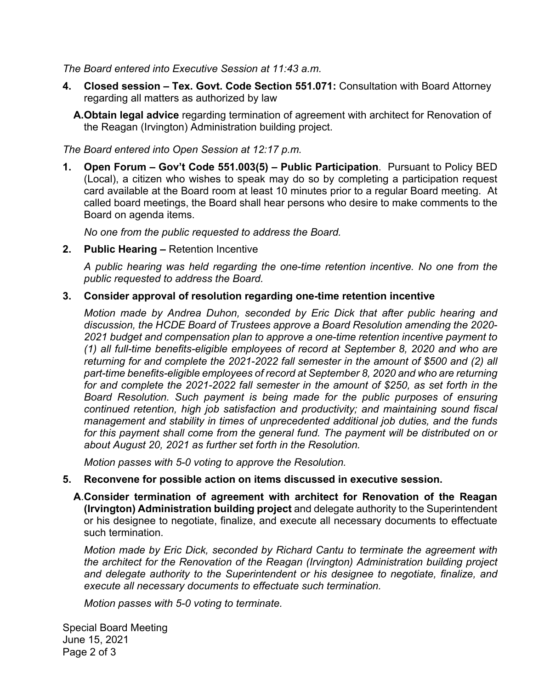*The Board entered into Executive Session at 11:43 a.m.* 

- **4. Closed session Tex. Govt. Code Section 551.071:** Consultation with Board Attorney regarding all matters as authorized by law
	- **A.Obtain legal advice** regarding termination of agreement with architect for Renovation of the Reagan (Irvington) Administration building project.

*The Board entered into Open Session at 12:17 p.m.* 

**1. Open Forum – Gov't Code 551.003(5) – Public Participation**. Pursuant to Policy BED (Local), a citizen who wishes to speak may do so by completing a participation request card available at the Board room at least 10 minutes prior to a regular Board meeting. At called board meetings, the Board shall hear persons who desire to make comments to the Board on agenda items.

*No one from the public requested to address the Board.* 

**2. Public Hearing –** Retention Incentive

*A public hearing was held regarding the one-time retention incentive. No one from the public requested to address the Board.*

## **3. Consider approval of resolution regarding one-time retention incentive**

*Motion made by Andrea Duhon, seconded by Eric Dick that after public hearing and discussion, the HCDE Board of Trustees approve a Board Resolution amending the 2020- 2021 budget and compensation plan to approve a one-time retention incentive payment to (1) all full-time benefits-eligible employees of record at September 8, 2020 and who are returning for and complete the 2021-2022 fall semester in the amount of \$500 and (2) all part-time benefits-eligible employees of record at September 8, 2020 and who are returning for and complete the 2021-2022 fall semester in the amount of \$250, as set forth in the Board Resolution. Such payment is being made for the public purposes of ensuring continued retention, high job satisfaction and productivity; and maintaining sound fiscal management and stability in times of unprecedented additional job duties, and the funds for this payment shall come from the general fund. The payment will be distributed on or about August 20, 2021 as further set forth in the Resolution.* 

*Motion passes with 5-0 voting to approve the Resolution.*

## **5. Reconvene for possible action on items discussed in executive session.**

 **A**.**Consider termination of agreement with architect for Renovation of the Reagan (Irvington) Administration building project** and delegate authority to the Superintendent or his designee to negotiate, finalize, and execute all necessary documents to effectuate such termination.

*Motion made by Eric Dick, seconded by Richard Cantu to terminate the agreement with the architect for the Renovation of the Reagan (Irvington) Administration building project and delegate authority to the Superintendent or his designee to negotiate, finalize, and execute all necessary documents to effectuate such termination.* 

*Motion passes with 5-0 voting to terminate.*

Special Board Meeting June 15, 2021 Page 2 of 3